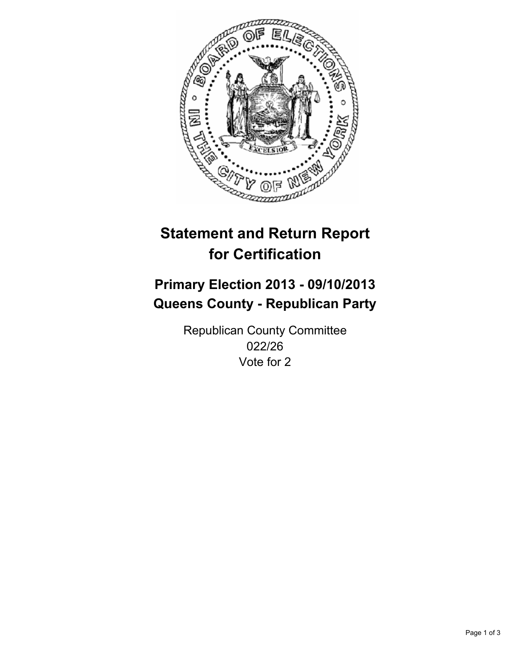

# **Statement and Return Report for Certification**

# **Primary Election 2013 - 09/10/2013 Queens County - Republican Party**

Republican County Committee 022/26 Vote for 2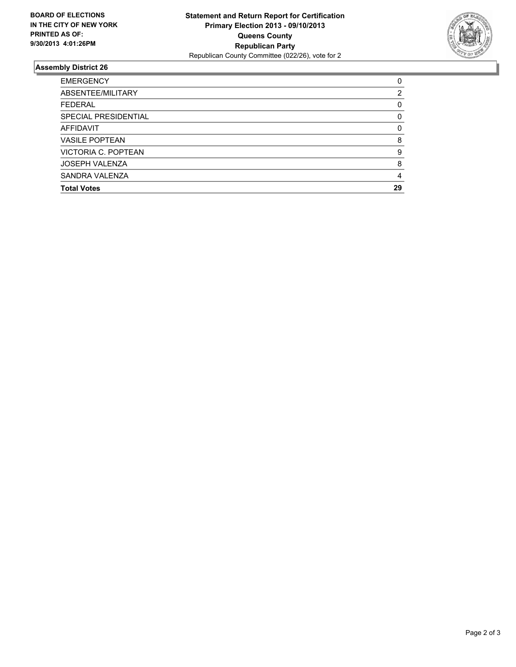

## **Assembly District 26**

| <b>EMERGENCY</b>      | 0        |
|-----------------------|----------|
| ABSENTEE/MILITARY     | 2        |
| <b>FEDERAL</b>        | 0        |
| SPECIAL PRESIDENTIAL  | 0        |
| AFFIDAVIT             | $\Omega$ |
| <b>VASILE POPTEAN</b> | 8        |
| VICTORIA C. POPTEAN   | 9        |
| <b>JOSEPH VALENZA</b> | 8        |
| SANDRA VALENZA        | 4        |
| <b>Total Votes</b>    | 29       |